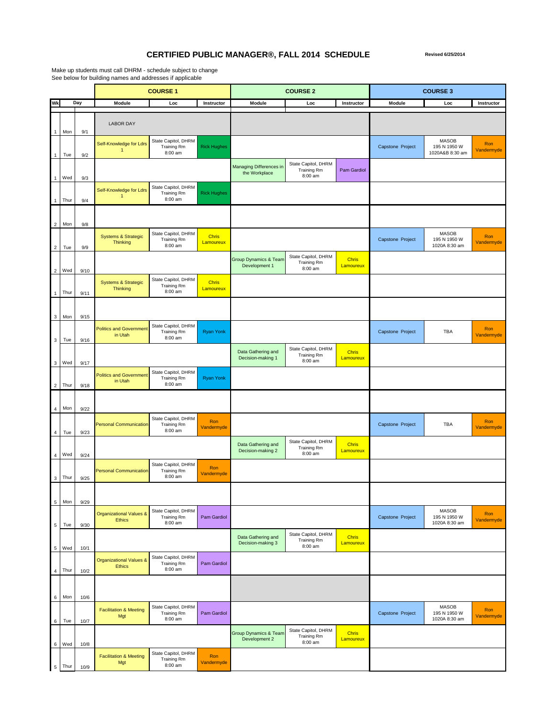## **CERTIFIED PUBLIC MANAGER®, FALL 2014 SCHEDULE Revised 6/25/2014**

Make up students must call DHRM - schedule subject to change See below for building names and addresses if applicable

|                         |      |      | <b>COURSE 1</b>                                     |                                                      | <b>COURSE 2</b>           |                                                 |                                                      | <b>COURSE 3</b>           |                  |                                                 |                   |
|-------------------------|------|------|-----------------------------------------------------|------------------------------------------------------|---------------------------|-------------------------------------------------|------------------------------------------------------|---------------------------|------------------|-------------------------------------------------|-------------------|
| Wk                      |      | Day  | <b>Module</b>                                       | Loc                                                  | Instructor                | Module                                          | Loc                                                  | Instructor                | <b>Module</b>    | Loc                                             | Instructor        |
| $\mathbf{1}$            | Mon  | 9/1  | <b>LABOR DAY</b>                                    |                                                      |                           |                                                 |                                                      |                           |                  |                                                 |                   |
| $\mathbf{1}$            | Tue  | 9/2  | Self-Knowledge for Ldrs<br>$\overline{1}$           | State Capitol, DHRM<br>Training Rm<br>8:00 am        | <b>Rick Hughes</b>        |                                                 |                                                      |                           | Capstone Project | <b>MASOB</b><br>195 N 1950 W<br>1020A&B 8:30 am | Ron<br>Vandermyde |
| $\mathbf{1}$            | Wed  | 9/3  |                                                     |                                                      |                           | <b>Managing Differences in</b><br>the Workplace | State Capitol, DHRM<br><b>Training Rm</b><br>8:00 am | Pam Gardiol               |                  |                                                 |                   |
| $\mathbf{1}$            | Thur | 9/4  | Self-Knowledge for Ldrs<br>1                        | State Capitol, DHRM<br>Training Rm<br>8:00 am        | <b>Rick Hughes</b>        |                                                 |                                                      |                           |                  |                                                 |                   |
| $\overline{c}$          | Mon  | 9/8  |                                                     |                                                      |                           |                                                 |                                                      |                           |                  |                                                 |                   |
| $\overline{2}$          | Tue  | 9/9  | <b>Systems &amp; Strategic</b><br><b>Thinking</b>   | State Capitol, DHRM<br>Training Rm<br>8:00 am        | <b>Chris</b><br>Lamoureux |                                                 |                                                      |                           | Capstone Project | <b>MASOB</b><br>195 N 1950 W<br>1020A 8:30 am   | Ron<br>Vandermyde |
| $\overline{\mathbf{c}}$ | Wed  | 9/10 |                                                     |                                                      |                           | Group Dynamics & Team<br>Development 1          | State Capitol, DHRM<br><b>Training Rm</b><br>8:00 am | <b>Chris</b><br>Lamoureux |                  |                                                 |                   |
| $\mathbf{1}$            | Thur | 9/11 | <b>Systems &amp; Strategic</b><br><b>Thinking</b>   | State Capitol, DHRM<br>Training Rm<br>8:00 am        | <b>Chris</b><br>Lamoureux |                                                 |                                                      |                           |                  |                                                 |                   |
| $\mathbf{3}$            | Mon  | 9/15 |                                                     |                                                      |                           |                                                 |                                                      |                           |                  |                                                 |                   |
| $_{3}$                  | Tue  | 9/16 | <b>Politics and Government</b><br>in Utah           | State Capitol, DHRM<br>Training Rm<br>8:00 am        | <b>Ryan Yonk</b>          |                                                 |                                                      |                           | Capstone Project | TBA                                             | Ron<br>Vandermyde |
| $\mathbf{3}$            | Wed  | 9/17 |                                                     |                                                      |                           | Data Gathering and<br>Decision-making 1         | State Capitol, DHRM<br><b>Training Rm</b><br>8:00 am | <b>Chris</b><br>Lamoureux |                  |                                                 |                   |
| $\overline{2}$          | Thur | 9/18 | <b>Politics and Government</b><br>in Utah           | State Capitol, DHRM<br><b>Training Rm</b><br>8:00 am | <b>Ryan Yonk</b>          |                                                 |                                                      |                           |                  |                                                 |                   |
| 4                       | Mon  | 9/22 |                                                     |                                                      |                           |                                                 |                                                      |                           |                  |                                                 |                   |
| $\overline{4}$          | Tue  | 9/23 | <b>Personal Communication</b>                       | State Capitol, DHRM<br><b>Training Rm</b><br>8:00 am | Ron<br>Vandermyde         |                                                 |                                                      |                           | Capstone Project | TBA                                             | Ron<br>Vandermyde |
| $\overline{4}$          | Wed  | 9/24 |                                                     |                                                      |                           | Data Gathering and<br>Decision-making 2         | State Capitol, DHRM<br><b>Training Rm</b><br>8:00 am | <b>Chris</b><br>Lamoureux |                  |                                                 |                   |
| $\mathbf{3}$            | Thur | 9/25 | <b>Personal Communication</b>                       | State Capitol, DHRM<br>Training Rm<br>8:00 am        | Ron<br>Vandermyde         |                                                 |                                                      |                           |                  |                                                 |                   |
| $\overline{5}$          | Mon  | 9/29 |                                                     |                                                      |                           |                                                 |                                                      |                           |                  |                                                 |                   |
| $\,$ 5 $\,$             | Tue  | 9/30 | <b>Organizational Values &amp;</b><br><b>Ethics</b> | State Capitol, DHRM<br><b>Training Rm</b><br>8:00 am | Pam Gardiol               |                                                 |                                                      |                           | Capstone Project | <b>MASOB</b><br>195 N 1950 W<br>1020A 8:30 am   | Ron<br>Vandermyde |
| 5                       | Wed  | 10/1 |                                                     |                                                      |                           | Data Gathering and<br>Decision-making 3         | State Capitol, DHRM<br><b>Training Rm</b><br>8:00 am | <b>Chris</b><br>Lamoureux |                  |                                                 |                   |
| $\overline{4}$          | Thur | 10/2 | <b>Organizational Values &amp;</b><br><b>Ethics</b> | State Capitol, DHRM<br>Training Rm<br>8:00 am        | Pam Gardiol               |                                                 |                                                      |                           |                  |                                                 |                   |
| 6                       | Mon  | 10/6 |                                                     |                                                      |                           |                                                 |                                                      |                           |                  |                                                 |                   |
| 6                       | Tue  | 10/7 | <b>Facilitation &amp; Meeting</b><br>Mgt            | State Capitol, DHRM<br>Training Rm<br>8:00 am        | Pam Gardiol               |                                                 |                                                      |                           | Capstone Project | <b>MASOB</b><br>195 N 1950 W<br>1020A 8:30 am   | Ron<br>Vandermyde |
| 6                       | Wed  | 10/8 |                                                     |                                                      |                           | Group Dynamics & Team<br>Development 2          | State Capitol, DHRM<br><b>Training Rm</b><br>8:00 am | <b>Chris</b><br>Lamoureux |                  |                                                 |                   |
| $\,$ 5 $\,$             | Thur | 10/9 | <b>Facilitation &amp; Meeting</b><br>Mgt            | State Capitol, DHRM<br><b>Training Rm</b><br>8:00 am | Ron<br>Vandermyde         |                                                 |                                                      |                           |                  |                                                 |                   |